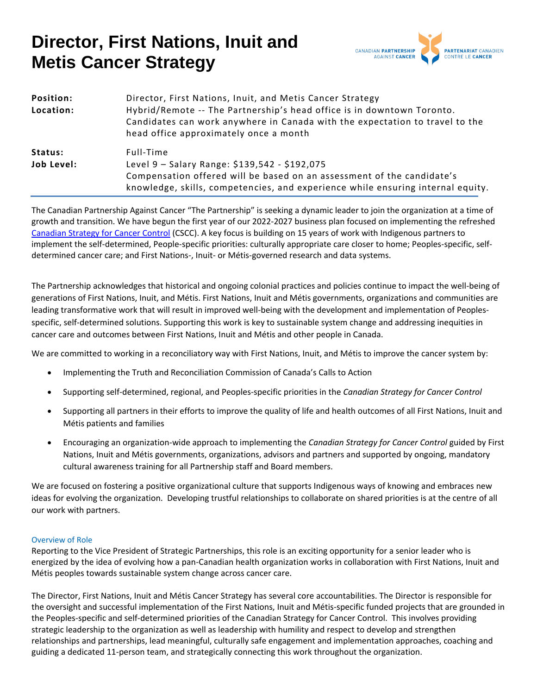

| Position:  | Director, First Nations, Inuit, and Metis Cancer Strategy                                                                                                                                        |
|------------|--------------------------------------------------------------------------------------------------------------------------------------------------------------------------------------------------|
| Location:  | Hybrid/Remote -- The Partnership's head office is in downtown Toronto.<br>Candidates can work anywhere in Canada with the expectation to travel to the<br>head office approximately once a month |
| Status:    | Full-Time                                                                                                                                                                                        |
| Job Level: | Level 9 - Salary Range: \$139,542 - \$192,075                                                                                                                                                    |
|            | Compensation offered will be based on an assessment of the candidate's<br>knowledge, skills, competencies, and experience while ensuring internal equity.                                        |

The Canadian Partnership Against Cancer "The Partnership" is seeking a dynamic leader to join the organization at a time of growth and transition. We have begun the first year of our 2022-2027 business plan focused on implementing the refreshed [Canadian Strategy for Cancer Control](https://www.partnershipagainstcancer.ca/wp-content/uploads/2019/06/Canadian-Strategy-Cancer-Control-2019-2029-EN.pdf%20.) (CSCC). A key focus is building on 15 years of work with Indigenous partners to implement the self-determined, People-specific priorities: culturally appropriate care closer to home; Peoples-specific, selfdetermined cancer care; and First Nations-, Inuit- or Métis-governed research and data systems.

The Partnership acknowledges that historical and ongoing colonial practices and policies continue to impact the well-being of generations of First Nations, Inuit, and Métis. First Nations, Inuit and Métis governments, organizations and communities are leading transformative work that will result in improved well-being with the development and implementation of Peoplesspecific, self-determined solutions. Supporting this work is key to sustainable system change and addressing inequities in cancer care and outcomes between First Nations, Inuit and Métis and other people in Canada.

We are committed to working in a reconciliatory way with First Nations, Inuit, and Métis to improve the cancer system by:

- Implementing the Truth and Reconciliation Commission of Canada's Calls to Action
- Supporting self-determined, regional, and Peoples-specific priorities in the *Canadian Strategy for Cancer Control*
- [Supporting all](https://www.partnershipagainstcancer.ca/about-us/who-we-are/first-nations-inuit-metis/current-work/) partners in their efforts to improve the quality of life and health outcomes of all First Nations, Inuit and Métis patients and families
- Encouraging an organization-wide approach to implementing the *Canadian Strategy for Cancer Control* guided by First Nations, Inuit and Métis governments, organizations, advisors and partners and supported by ongoing, mandatory cultural awareness training for all Partnership staff and Board members.

We are focused on fostering a positive organizational culture that supports Indigenous ways of knowing and embraces new ideas for evolving the organization. Developing trustful relationships to collaborate on shared priorities is at the centre of all our work with partners.

#### Overview of Role

Reporting to the Vice President of Strategic Partnerships, this role is an exciting opportunity for a senior leader who is energized by the idea of evolving how a pan-Canadian health organization works in collaboration with First Nations, Inuit and Métis peoples towards sustainable system change across cancer care.

The Director, First Nations, Inuit and Métis Cancer Strategy has several core accountabilities. The Director is responsible for the oversight and successful implementation of the First Nations, Inuit and Métis-specific funded projects that are grounded in the Peoples-specific and self-determined priorities of the Canadian Strategy for Cancer Control. This involves providing strategic leadership to the organization as well as leadership with humility and respect to develop and strengthen relationships and partnerships, lead meaningful, culturally safe engagement and implementation approaches, coaching and guiding a dedicated 11-person team, and strategically connecting this work throughout the organization.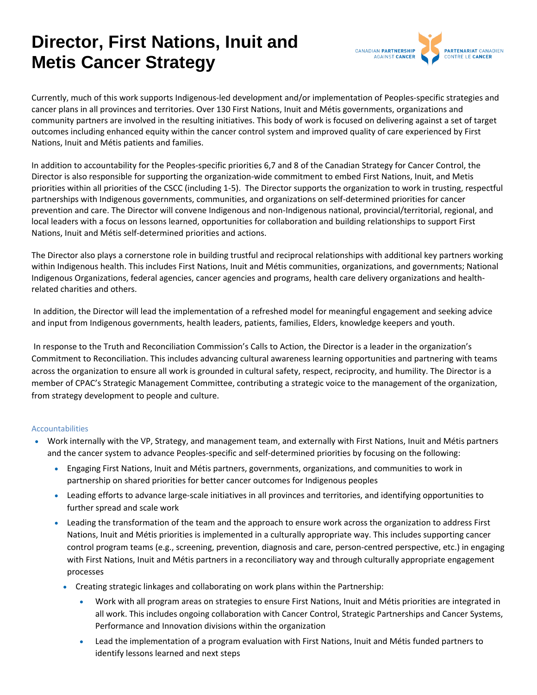

Currently, much of this work supports Indigenous-led development and/or implementation of Peoples-specific strategies and cancer plans in all provinces and territories. Over 130 First Nations, Inuit and Métis governments, organizations and community partners are involved in the resulting initiatives. This body of work is focused on delivering against a set of target outcomes including enhanced equity within the cancer control system and improved quality of care experienced by First Nations, Inuit and Métis patients and families.

In addition to accountability for the Peoples-specific priorities 6,7 and 8 of the Canadian Strategy for Cancer Control, the Director is also responsible for supporting the organization-wide commitment to embed First Nations, Inuit, and Metis priorities within all priorities of the CSCC (including 1-5). The Director supports the organization to work in trusting, respectful partnerships with Indigenous governments, communities, and organizations on self-determined priorities for cancer prevention and care. The Director will convene Indigenous and non-Indigenous national, provincial/territorial, regional, and local leaders with a focus on lessons learned, opportunities for collaboration and building relationships to support First Nations, Inuit and Métis self-determined priorities and actions.

The Director also plays a cornerstone role in building trustful and reciprocal relationships with additional key partners working within Indigenous health. This includes First Nations, Inuit and Métis communities, organizations, and governments; National Indigenous Organizations, federal agencies, cancer agencies and programs, health care delivery organizations and healthrelated charities and others.

In addition, the Director will lead the implementation of a refreshed model for meaningful engagement and seeking advice and input from Indigenous governments, health leaders, patients, families, Elders, knowledge keepers and youth.

In response to the Truth and Reconciliation Commission's Calls to Action, the Director is a leader in the organization's Commitment to Reconciliation. This includes advancing cultural awareness learning opportunities and partnering with teams across the organization to ensure all work is grounded in cultural safety, respect, reciprocity, and humility. The Director is a member of CPAC's Strategic Management Committee, contributing a strategic voice to the management of the organization, from strategy development to people and culture.

#### Accountabilities

- Work internally with the VP, Strategy, and management team, and externally with First Nations, Inuit and Métis partners and the cancer system to advance Peoples-specific and self-determined priorities by focusing on the following:
	- Engaging First Nations, Inuit and Métis partners, governments, organizations, and communities to work in partnership on shared priorities for better cancer outcomes for Indigenous peoples
	- Leading efforts to advance large-scale initiatives in all provinces and territories, and identifying opportunities to further spread and scale work
	- Leading the transformation of the team and the approach to ensure work across the organization to address First Nations, Inuit and Métis priorities is implemented in a culturally appropriate way. This includes supporting cancer control program teams (e.g., screening, prevention, diagnosis and care, person-centred perspective, etc.) in engaging with First Nations, Inuit and Métis partners in a reconciliatory way and through culturally appropriate engagement processes
		- Creating strategic linkages and collaborating on work plans within the Partnership:
			- Work with all program areas on strategies to ensure First Nations, Inuit and Métis priorities are integrated in all work. This includes ongoing collaboration with Cancer Control, Strategic Partnerships and Cancer Systems, Performance and Innovation divisions within the organization
			- Lead the implementation of a program evaluation with First Nations, Inuit and Métis funded partners to identify lessons learned and next steps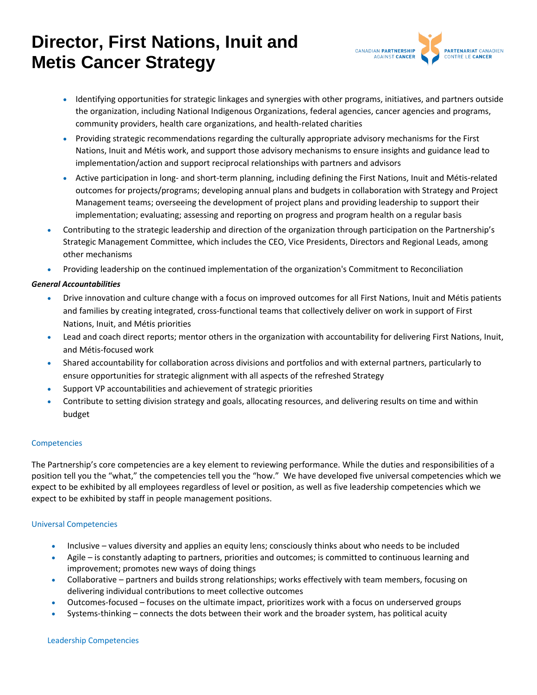

- Identifying opportunities for strategic linkages and synergies with other programs, initiatives, and partners outside the organization, including National Indigenous Organizations, federal agencies, cancer agencies and programs, community providers, health care organizations, and health-related charities
- Providing strategic recommendations regarding the culturally appropriate advisory mechanisms for the First Nations, Inuit and Métis work, and support those advisory mechanisms to ensure insights and guidance lead to implementation/action and support reciprocal relationships with partners and advisors
- Active participation in long- and short-term planning, including defining the First Nations, Inuit and Métis-related outcomes for projects/programs; developing annual plans and budgets in collaboration with Strategy and Project Management teams; overseeing the development of project plans and providing leadership to support their implementation; evaluating; assessing and reporting on progress and program health on a regular basis
- Contributing to the strategic leadership and direction of the organization through participation on the Partnership's Strategic Management Committee, which includes the CEO, Vice Presidents, Directors and Regional Leads, among other mechanisms
- Providing leadership on the continued implementation of the organization's Commitment to Reconciliation

## *General Accountabilities*

- Drive innovation and culture change with a focus on improved outcomes for all First Nations, Inuit and Métis patients and families by creating integrated, cross-functional teams that collectively deliver on work in support of First Nations, Inuit, and Métis priorities
- Lead and coach direct reports; mentor others in the organization with accountability for delivering First Nations, Inuit, and Métis-focused work
- Shared accountability for collaboration across divisions and portfolios and with external partners, particularly to ensure opportunities for strategic alignment with all aspects of the refreshed Strategy
- Support VP accountabilities and achievement of strategic priorities
- Contribute to setting division strategy and goals, allocating resources, and delivering results on time and within budget

#### Competencies

The Partnership's core competencies are a key element to reviewing performance. While the duties and responsibilities of a position tell you the "what," the competencies tell you the "how." We have developed five universal competencies which we expect to be exhibited by all employees regardless of level or position, as well as five leadership competencies which we expect to be exhibited by staff in people management positions.

### Universal Competencies

- Inclusive values diversity and applies an equity lens; consciously thinks about who needs to be included
- Agile is constantly adapting to partners, priorities and outcomes; is committed to continuous learning and improvement; promotes new ways of doing things
- Collaborative partners and builds strong relationships; works effectively with team members, focusing on delivering individual contributions to meet collective outcomes
- Outcomes-focused focuses on the ultimate impact, prioritizes work with a focus on underserved groups
- Systems-thinking connects the dots between their work and the broader system, has political acuity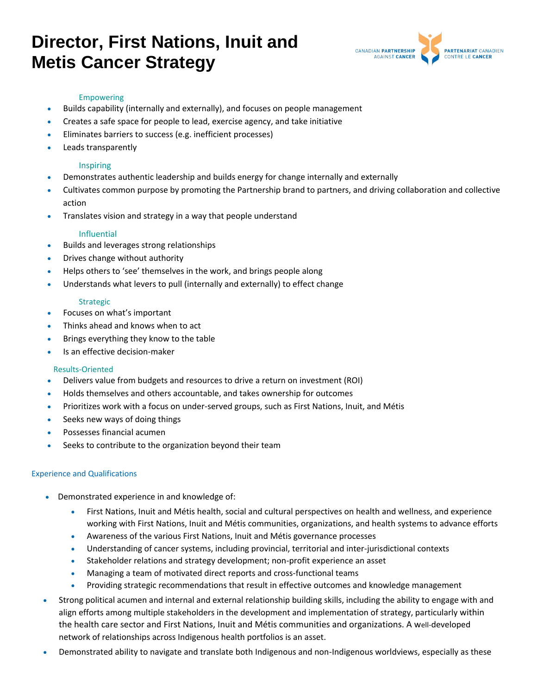

#### Empowering

- Builds capability (internally and externally), and focuses on people management
- Creates a safe space for people to lead, exercise agency, and take initiative
- Eliminates barriers to success (e.g. inefficient processes)
- Leads transparently

### Inspiring

- Demonstrates authentic leadership and builds energy for change internally and externally
- Cultivates common purpose by promoting the Partnership brand to partners, and driving collaboration and collective action
- Translates vision and strategy in a way that people understand

### Influential

- Builds and leverages strong relationships
- Drives change without authority
- Helps others to 'see' themselves in the work, and brings people along
- Understands what levers to pull (internally and externally) to effect change

### Strategic

- Focuses on what's important
- Thinks ahead and knows when to act
- Brings everything they know to the table
- Is an effective decision-maker

#### Results-Oriented

- Delivers value from budgets and resources to drive a return on investment (ROI)
- Holds themselves and others accountable, and takes ownership for outcomes
- Prioritizes work with a focus on under-served groups, such as First Nations, Inuit, and Métis
- Seeks new ways of doing things
- Possesses financial acumen
- Seeks to contribute to the organization beyond their team

## Experience and Qualifications

- Demonstrated experience in and knowledge of:
	- First Nations, Inuit and Métis health, social and cultural perspectives on health and wellness, and experience working with First Nations, Inuit and Métis communities, organizations, and health systems to advance efforts
	- Awareness of the various First Nations, Inuit and Métis governance processes
	- Understanding of cancer systems, including provincial, territorial and inter-jurisdictional contexts
	- Stakeholder relations and strategy development; non-profit experience an asset
	- Managing a team of motivated direct reports and cross-functional teams
	- Providing strategic recommendations that result in effective outcomes and knowledge management
- Strong political acumen and internal and external relationship building skills, including the ability to engage with and align efforts among multiple stakeholders in the development and implementation of strategy, particularly within the health care sector and First Nations, Inuit and Métis communities and organizations. A well-developed network of relationships across Indigenous health portfolios is an asset.
- Demonstrated ability to navigate and translate both Indigenous and non-Indigenous worldviews, especially as these